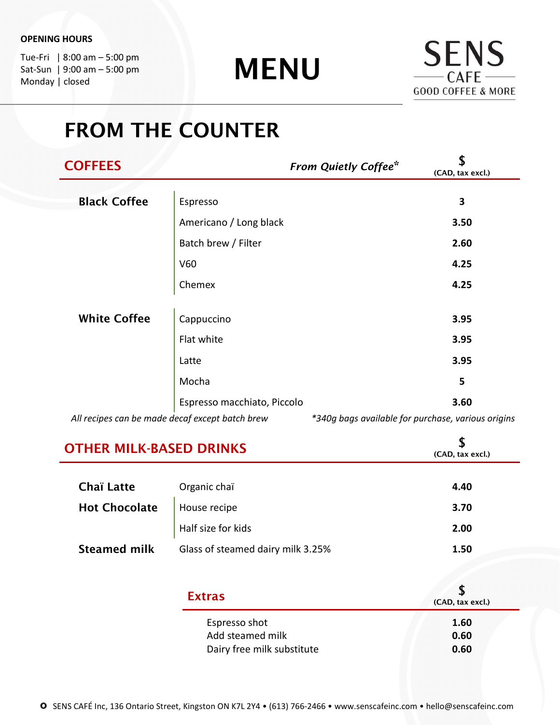Tue-Fri | 8:00 am – 5:00 pm Sat-Sun | 9:00 am – 5:00 pm Monday | closed

MENU



# FROM THE COUNTER

| <b>COFFEES</b>                                  |                             | <b>From Quietly Coffee*</b>                        | \$<br>(CAD, tax excl.) |
|-------------------------------------------------|-----------------------------|----------------------------------------------------|------------------------|
| <b>Black Coffee</b>                             | Espresso                    |                                                    | 3                      |
|                                                 | Americano / Long black      |                                                    | 3.50                   |
|                                                 | Batch brew / Filter         |                                                    | 2.60                   |
|                                                 | V60                         |                                                    | 4.25                   |
|                                                 | Chemex                      |                                                    | 4.25                   |
| <b>White Coffee</b>                             | Cappuccino                  |                                                    | 3.95                   |
|                                                 | Flat white                  |                                                    | 3.95                   |
|                                                 | Latte                       |                                                    | 3.95                   |
|                                                 | Mocha                       |                                                    | 5                      |
|                                                 | Espresso macchiato, Piccolo |                                                    | 3.60                   |
| All recipes can be made decaf except batch brew |                             | *340g bags available for purchase, various origins |                        |

| <b>OTHER MILK-BASED DRINKS</b>    |                            |
|-----------------------------------|----------------------------|
| Organic chaï                      | 4.40                       |
| House recipe                      | 3.70                       |
| Half size for kids                | 2.00                       |
| Glass of steamed dairy milk 3.25% | 1.50                       |
| <b>Extras</b>                     | S<br>(CAD, tax excl.)      |
| Espresso shot<br>Add steamed milk | 1.60<br>0.60<br>0.60       |
|                                   | Dairy free milk substitute |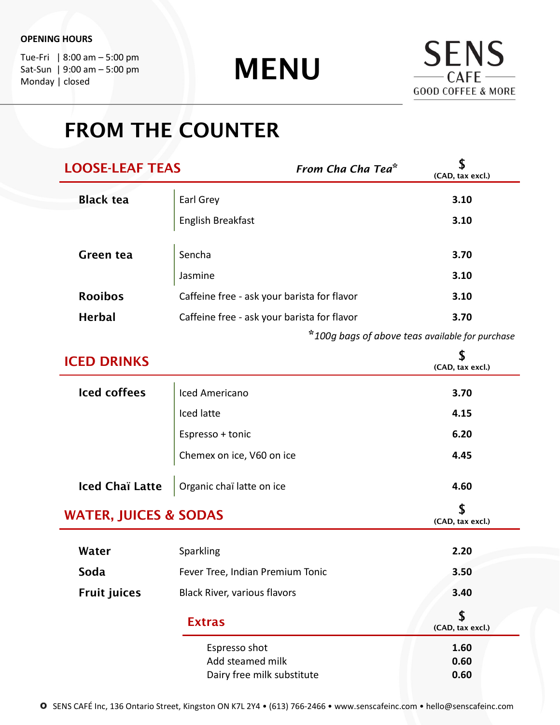Tue-Fri | 8:00 am – 5:00 pm Sat-Sun | 9:00 am – 5:00 pm Monday | closed

MENU



# FROM THE COUNTER

| <b>LOOSE-LEAF TEAS</b> | From Cha Cha Tea <sup>*</sup>               | (CAD, tax excl.) |
|------------------------|---------------------------------------------|------------------|
| <b>Black tea</b>       | Earl Grey                                   | 3.10             |
|                        | English Breakfast                           | 3.10             |
| <b>Green tea</b>       | Sencha                                      | 3.70             |
|                        | Jasmine                                     | 3.10             |
| <b>Rooibos</b>         | Caffeine free - ask your barista for flavor | 3.10             |
| <b>Herbal</b>          | Caffeine free - ask your barista for flavor | 3.70             |
|                        |                                             |                  |

\*100g bags of above teas available for purchase

| <b>ICED DRINKS</b>               |                                  | \$<br>(CAD, tax excl.) |
|----------------------------------|----------------------------------|------------------------|
| <b>Iced coffees</b>              | Iced Americano                   | 3.70                   |
|                                  | Iced latte                       | 4.15                   |
|                                  | Espresso + tonic                 | 6.20                   |
|                                  | Chemex on ice, V60 on ice        | 4.45                   |
| <b>Iced Chaï Latte</b>           | Organic chaï latte on ice        | 4.60                   |
| <b>WATER, JUICES &amp; SODAS</b> |                                  | S<br>(CAD, tax excl.)  |
| Water                            | Sparkling                        | 2.20                   |
| Soda                             | Fever Tree, Indian Premium Tonic | 3.50                   |
| <b>Fruit juices</b>              | Black River, various flavors     | 3.40                   |
|                                  | <b>Extras</b>                    | (CAD, tax excl.)       |
|                                  | Espresso shot                    | 1.60                   |
|                                  | Add steamed milk                 | 0.60<br>0.60           |
|                                  | Dairy free milk substitute       |                        |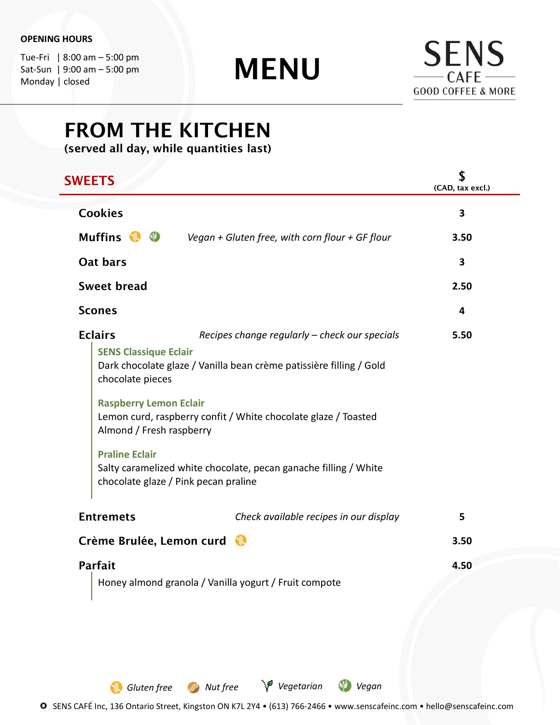Tue-Fri | 8:00 am – 5:00 pm Sat-Sun | 9:00 am – 5:00 pm Monday | closed

MENU



# FROM THE KITCHEN

(served all day, while quantities last)

| <b>SWEETS</b>                                                                                                                                            |                                                                                                                                                                                                                                                                                                    | \$<br>(CAD, tax excl.)  |
|----------------------------------------------------------------------------------------------------------------------------------------------------------|----------------------------------------------------------------------------------------------------------------------------------------------------------------------------------------------------------------------------------------------------------------------------------------------------|-------------------------|
| <b>Cookies</b>                                                                                                                                           |                                                                                                                                                                                                                                                                                                    | 3                       |
| Muffins & ©                                                                                                                                              | Vegan + Gluten free, with corn flour + GF flour                                                                                                                                                                                                                                                    | 3.50                    |
| Oat bars                                                                                                                                                 |                                                                                                                                                                                                                                                                                                    | 3                       |
| <b>Sweet bread</b>                                                                                                                                       |                                                                                                                                                                                                                                                                                                    | 2.50                    |
| <b>Scones</b>                                                                                                                                            |                                                                                                                                                                                                                                                                                                    | $\overline{\mathbf{4}}$ |
| <b>Eclairs</b><br><b>SENS Classique Eclair</b><br>chocolate pieces<br><b>Raspberry Lemon Eclair</b><br>Almond / Fresh raspberry<br><b>Praline Eclair</b> | Recipes change regularly - check our specials<br>Dark chocolate glaze / Vanilla bean crème patissière filling / Gold<br>Lemon curd, raspberry confit / White chocolate glaze / Toasted<br>Salty caramelized white chocolate, pecan ganache filling / White<br>chocolate glaze / Pink pecan praline | 5.50                    |
| <b>Entremets</b>                                                                                                                                         | Check available recipes in our display                                                                                                                                                                                                                                                             | 5                       |
| Crème Brulée, Lemon curd                                                                                                                                 |                                                                                                                                                                                                                                                                                                    | 3.50                    |
| <b>Parfait</b>                                                                                                                                           |                                                                                                                                                                                                                                                                                                    | 4.50                    |
|                                                                                                                                                          | Honey almond granola / Vanilla yogurt / Fruit compote                                                                                                                                                                                                                                              |                         |

O SENS CAFÉ Inc, 136 Ontario Street, Kingston ON K7L 2Y4 • (613) 766-2466 • www.senscafeinc.com • hello@senscafeinc.com

Gluten free Nut free V Vegetarian V Vegan